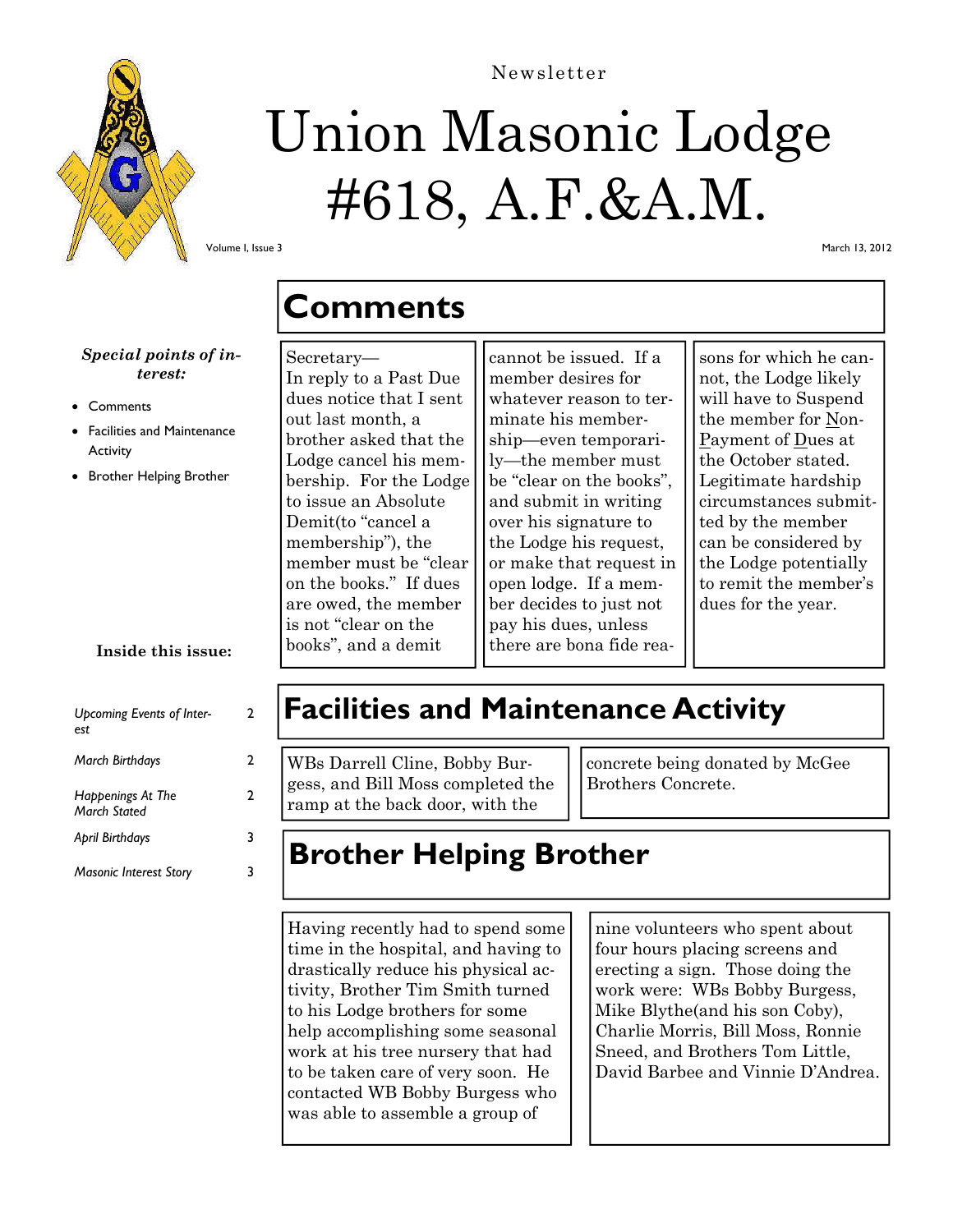

# Union Masonic Lodge #618, A.F.&A.M.

Newsletter

Volume I, Issue 3

March 13, 2012

### *Special points of interest:*

- **Comments**
- Facilities and Maintenance **Activity**
- Brother Helping Brother

### **Inside this issue:**

| Upcoming Events of Inter-<br>est.                       | 2 |
|---------------------------------------------------------|---|
| <b>March Birthdays</b>                                  | 2 |
| Happenings At The<br><b>March Stated</b>                | 2 |
| <b>April Birthdays</b><br><b>Masonic Interest Story</b> | 3 |
|                                                         |   |

# **Comments**

#### Secretary—

In reply to a Past Due dues notice that I sent out last month, a brother asked that the Lodge cancel his membership. For the Lodge to issue an Absolute Demit(to "cancel a membership"), the member must be "clear on the books." If dues are owed, the member is not "clear on the books", and a demit

cannot be issued. If a member desires for whatever reason to terminate his membership—even temporarily—the member must be "clear on the books", and submit in writing over his signature to the Lodge his request, or make that request in open lodge. If a member decides to just not pay his dues, unless there are bona fide rea-

sons for which he cannot, the Lodge likely will have to Suspend the member for Non-Payment of Dues at the October stated. Legitimate hardship circumstances submitted by the member can be considered by the Lodge potentially to remit the member's dues for the year.

## **Facilities and Maintenance Activity**

WBs Darrell Cline, Bobby Burgess, and Bill Moss completed the ramp at the back door, with the

concrete being donated by McGee Brothers Concrete.

# **Brother Helping Brother**

Having recently had to spend some time in the hospital, and having to drastically reduce his physical activity, Brother Tim Smith turned to his Lodge brothers for some help accomplishing some seasonal work at his tree nursery that had to be taken care of very soon. He contacted WB Bobby Burgess who was able to assemble a group of

nine volunteers who spent about four hours placing screens and erecting a sign. Those doing the work were: WBs Bobby Burgess, Mike Blythe(and his son Coby), Charlie Morris, Bill Moss, Ronnie Sneed, and Brothers Tom Little, David Barbee and Vinnie D'Andrea.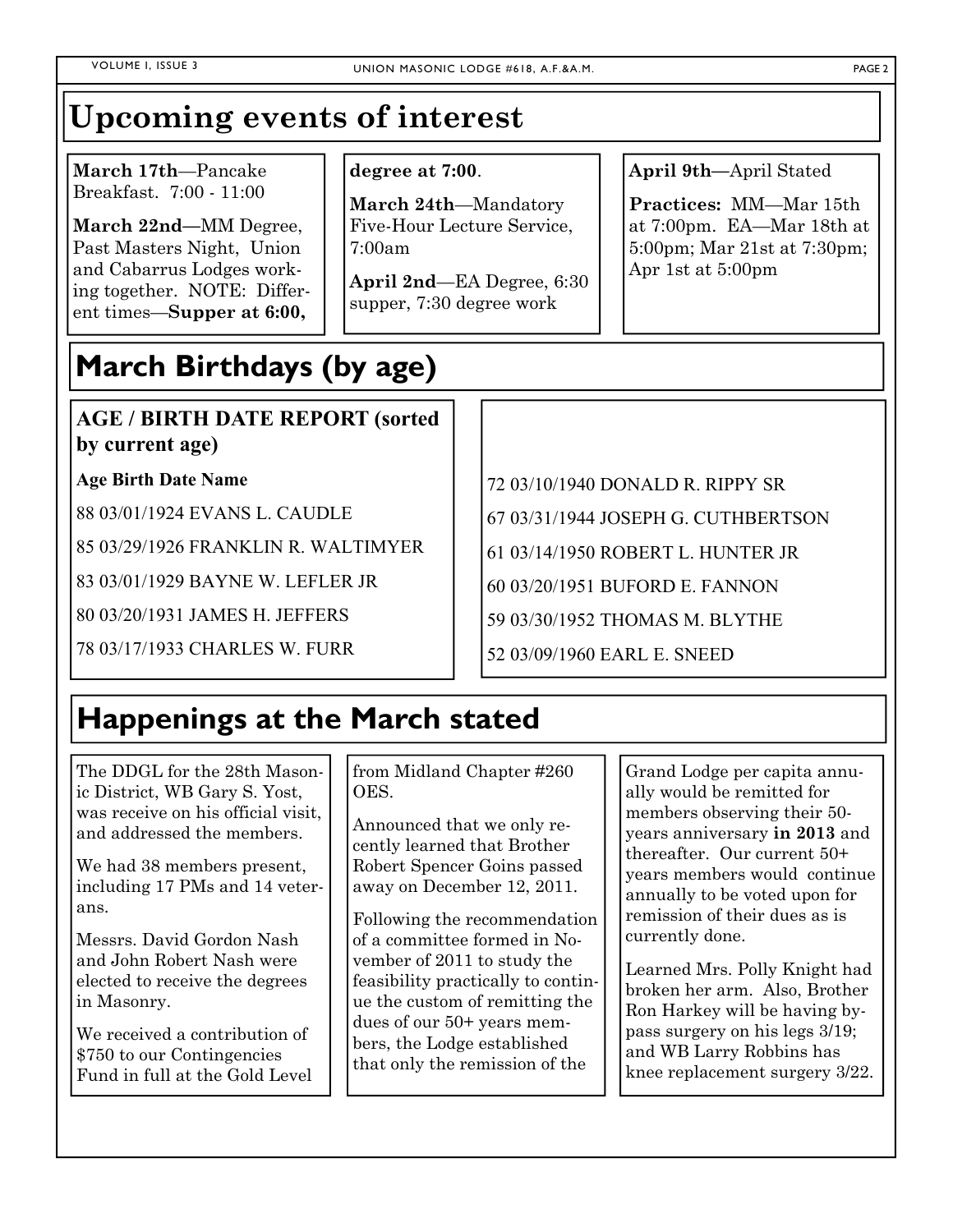# **Upcoming events of interest**

**March 17th**—Pancake Breakfast. 7:00 - 11:00

**March 22nd—**MM Degree, Past Masters Night, Union and Cabarrus Lodges working together. NOTE: Different times—**Supper at 6:00,** 

### **degree at 7:00**.

**March 24th**—Mandatory Five-Hour Lecture Service, 7:00am

**April 2nd**—EA Degree, 6:30 supper, 7:30 degree work

**April 9th—**April Stated

**Practices:** MM—Mar 15th at 7:00pm. EA—Mar 18th at 5:00pm; Mar 21st at 7:30pm; Apr 1st at 5:00pm

# **March Birthdays (by age)**

### **AGE / BIRTH DATE REPORT (sorted by current age)**

### **Age Birth Date Name**

88 03/01/1924 EVANS L. CAUDLE

85 03/29/1926 FRANKLIN R. WALTIMYER

83 03/01/1929 BAYNE W. LEFLER JR

80 03/20/1931 JAMES H. JEFFERS

78 03/17/1933 CHARLES W. FURR

72 03/10/1940 DONALD R. RIPPY SR 67 03/31/1944 JOSEPH G. CUTHBERTSON 61 03/14/1950 ROBERT L. HUNTER JR 60 03/20/1951 BUFORD E. FANNON

59 03/30/1952 THOMAS M. BLYTHE

52 03/09/1960 EARL E. SNEED

# **Happenings at the March stated**

The DDGL for the 28th Masonic District, WB Gary S. Yost, was receive on his official visit, and addressed the members.

We had 38 members present, including 17 PMs and 14 veterans.

Messrs. David Gordon Nash and John Robert Nash were elected to receive the degrees in Masonry.

We received a contribution of \$750 to our Contingencies Fund in full at the Gold Level from Midland Chapter #260 OES.

Announced that we only recently learned that Brother Robert Spencer Goins passed away on December 12, 2011.

Following the recommendation of a committee formed in November of 2011 to study the feasibility practically to continue the custom of remitting the dues of our 50+ years members, the Lodge established that only the remission of the

Grand Lodge per capita annually would be remitted for members observing their 50 years anniversary **in 2013** and thereafter. Our current 50+ years members would continue annually to be voted upon for remission of their dues as is currently done.

Learned Mrs. Polly Knight had broken her arm. Also, Brother Ron Harkey will be having bypass surgery on his legs 3/19; and WB Larry Robbins has knee replacement surgery 3/22.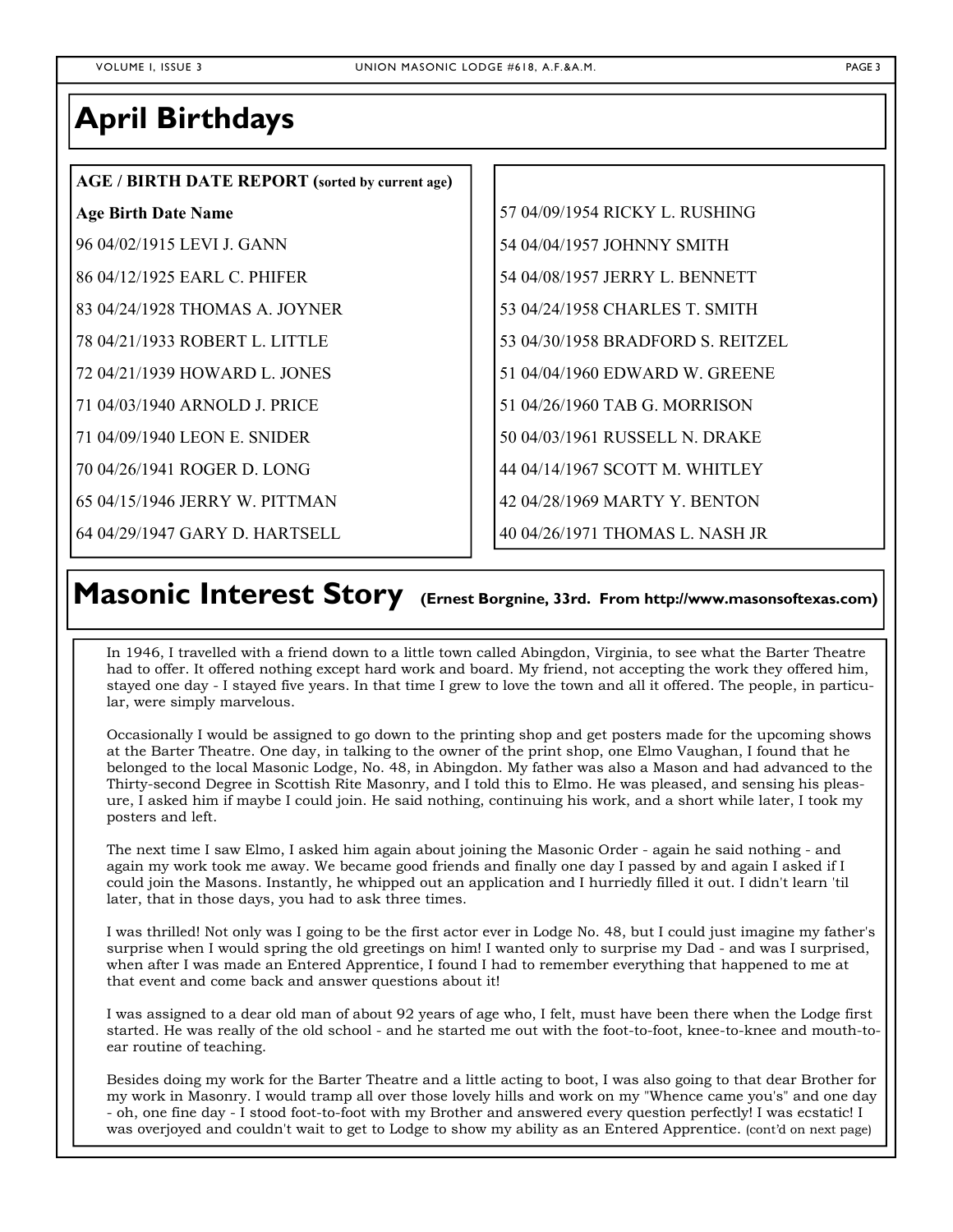### **April Birthdays**

### **AGE / BIRTH DATE REPORT (sorted by current age)**

### **Age Birth Date Name**

96 04/02/1915 LEVI J. GANN

86 04/12/1925 EARL C. PHIFER

83 04/24/1928 THOMAS A. JOYNER

78 04/21/1933 ROBERT L. LITTLE

72 04/21/1939 HOWARD L. JONES

71 04/03/1940 ARNOLD J. PRICE

71 04/09/1940 LEON E. SNIDER

70 04/26/1941 ROGER D. LONG

65 04/15/1946 JERRY W. PITTMAN

64 04/29/1947 GARY D. HARTSELL

57 04/09/1954 RICKY L. RUSHING 54 04/04/1957 JOHNNY SMITH 54 04/08/1957 JERRY L. BENNETT 53 04/24/1958 CHARLES T. SMITH 53 04/30/1958 BRADFORD S. REITZEL 51 04/04/1960 EDWARD W. GREENE 51 04/26/1960 TAB G. MORRISON 50 04/03/1961 RUSSELL N. DRAKE 44 04/14/1967 SCOTT M. WHITLEY 42 04/28/1969 MARTY Y. BENTON

40 04/26/1971 THOMAS L. NASH JR

## Masonic Interest Story (Ernest Borgnine, 33rd. From http://www.masonsoftexas.com)

In 1946, I travelled with a friend down to a little town called Abingdon, Virginia, to see what the Barter Theatre had to offer. It offered nothing except hard work and board. My friend, not accepting the work they offered him, stayed one day - I stayed five years. In that time I grew to love the town and all it offered. The people, in particular, were simply marvelous.

Occasionally I would be assigned to go down to the printing shop and get posters made for the upcoming shows at the Barter Theatre. One day, in talking to the owner of the print shop, one Elmo Vaughan, I found that he belonged to the local Masonic Lodge, No. 48, in Abingdon. My father was also a Mason and had advanced to the Thirty-second Degree in Scottish Rite Masonry, and I told this to Elmo. He was pleased, and sensing his pleasure, I asked him if maybe I could join. He said nothing, continuing his work, and a short while later, I took my posters and left.

The next time I saw Elmo, I asked him again about joining the Masonic Order - again he said nothing - and again my work took me away. We became good friends and finally one day I passed by and again I asked if I could join the Masons. Instantly, he whipped out an application and I hurriedly filled it out. I didn't learn 'til later, that in those days, you had to ask three times.

I was thrilled! Not only was I going to be the first actor ever in Lodge No. 48, but I could just imagine my father's surprise when I would spring the old greetings on him! I wanted only to surprise my Dad - and was I surprised, when after I was made an Entered Apprentice, I found I had to remember everything that happened to me at that event and come back and answer questions about it!

I was assigned to a dear old man of about 92 years of age who, I felt, must have been there when the Lodge first started. He was really of the old school - and he started me out with the foot-to-foot, knee-to-knee and mouth-toear routine of teaching.

Besides doing my work for the Barter Theatre and a little acting to boot, I was also going to that dear Brother for my work in Masonry. I would tramp all over those lovely hills and work on my "Whence came you's" and one day - oh, one fine day - I stood foot-to-foot with my Brother and answered every question perfectly! I was ecstatic! I was overjoyed and couldn't wait to get to Lodge to show my ability as an Entered Apprentice. (cont'd on next page)